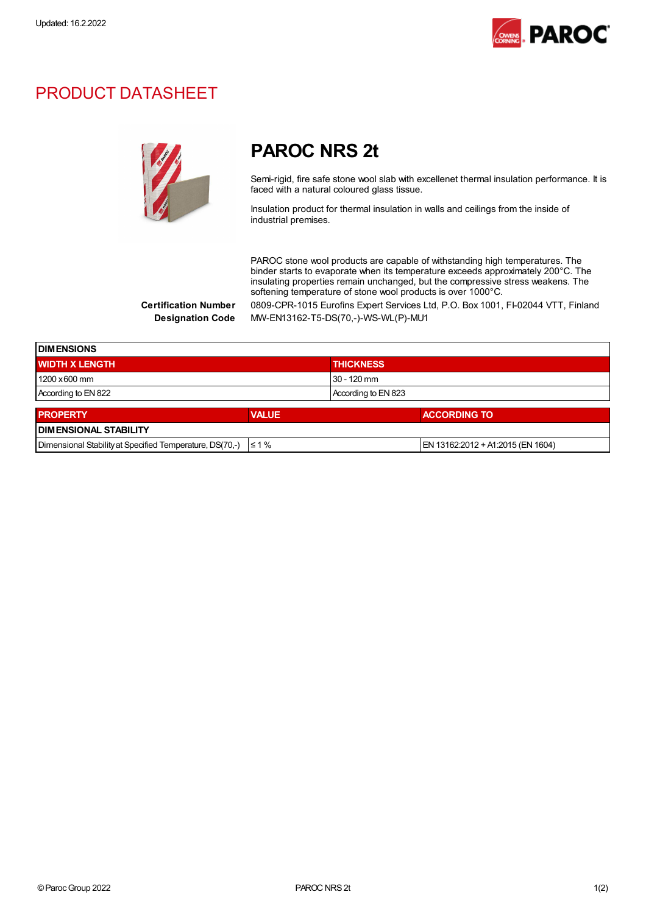

### PRODUCT DATASHEET



## PAROC NRS 2t

Semi-rigid, fire safe stone wool slab with excellenet thermal insulation performance. It is faced with a natural coloured glass tissue.

Insulation product for thermal insulation in walls and ceilings from the inside of industrial premises.

PAROC stone wool products are capable of withstanding high temperatures. The binder starts to evaporate when its temperature exceeds approximately 200°C. The insulating properties remain unchanged, but the compressive stress weakens. The softening temperature of stone wool products is over 1000°C.

Certification Number 0809-CPR-1015 Eurofins Expert Services Ltd, P.O. Box 1001, FI-02044 VTT, Finland Designation Code MW-EN13162-T5-DS(70,-)-WS-WL(P)-MU1

| <b>I DIMENSIONS</b>                                      |              |                                   |  |  |
|----------------------------------------------------------|--------------|-----------------------------------|--|--|
| <b>WIDTH X LENGTH</b>                                    |              | <b>THICKNESS</b>                  |  |  |
| 1200 x 600 mm                                            |              | $30 - 120$ mm                     |  |  |
| According to EN 822                                      |              | According to EN 823               |  |  |
| <b>PROPERTY</b>                                          | <b>VALUE</b> | <b>ACCORDING TO</b>               |  |  |
| <b>DIMENSIONAL STABILITY</b>                             |              |                                   |  |  |
| Dimensional Stability at Specified Temperature, DS(70,-) | $\leq 1\%$   | EN 13162:2012 + A1:2015 (EN 1604) |  |  |